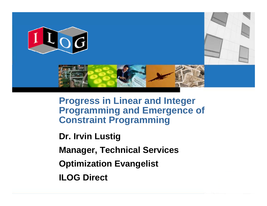

**Progress in Linear and Integer Programming and Emergence of Constraint Programming**

**Dr. Irvin Lustig**

**Manager, Technical Services**

**Optimization Evangelist**

**ILOG Direct**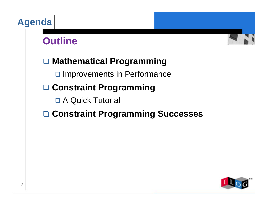# **Agenda**

# **Outline**



### **□ Mathematical Programming**

**Q Improvements in Performance** 

## **□ Constraint Programming**

**Q** A Quick Tutorial

### ! **Constraint Programming Successes**

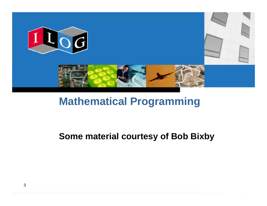

# **Mathematical Programming**

#### **Some material courtesy of Bob Bixby**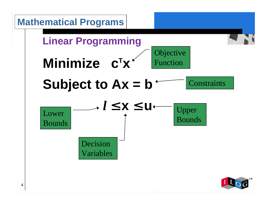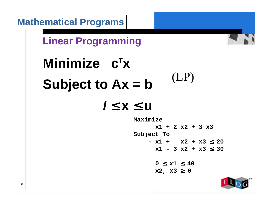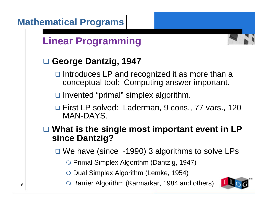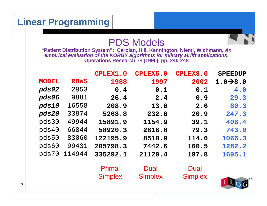## PDS Models

**"Patient Distribution System": Carolan, Hill, Kennington, Niemi, Wichmann,** *An empirical evaluation of the KORBX algorithms for military airlift applications***, Operations Research** 38 **(1990), pp. 240-248**

|              |             | <b>CPLEX1.0</b>                 | CPLEX5.0               | <b>CPLEX8.0</b>        | <b>SPEEDUP</b>        |
|--------------|-------------|---------------------------------|------------------------|------------------------|-----------------------|
| <b>MODEL</b> | <b>ROWS</b> | 1988                            | 1997                   | 2002                   | $1.0 \rightarrow 8.0$ |
| pds02        | 2953        | 0.4                             | 0.1                    | 0.1                    | 4.0                   |
| pds06        | 9881        | 26.4                            | 2.4                    | 0.9                    | 29.3                  |
| pds10        | 16558       | 208.9                           | 13.0                   | 2.6                    | 80.3                  |
| pds20        | 33874       | 5268.8                          | 232.6                  | 20.9                   | 247.3                 |
| pds30        | 49944       | 15891.9                         | 1154.9                 | 39.1                   | 406.4                 |
| pds40        | 66844       | 58920.3                         | 2816.8                 | 79.3                   | 743.0                 |
| pds50        | 83060       | 122195.9                        | 8510.9                 | 114.6                  | 1066.3                |
| pds60        | 99431       | 205798.3                        | 7442.6                 | 160.5                  | 1282.2                |
| pds70        | 114944      | 335292.1                        | 21120.4                | 197.8                  | 1695.1                |
|              |             | <b>Primal</b><br><b>Simplex</b> | Dual<br><b>Simplex</b> | Dual<br><b>Simplex</b> |                       |
|              |             |                                 |                        |                        |                       |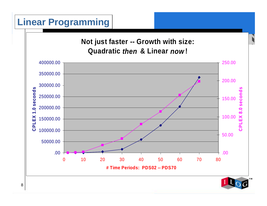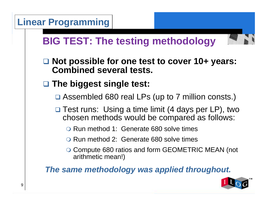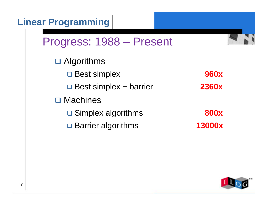

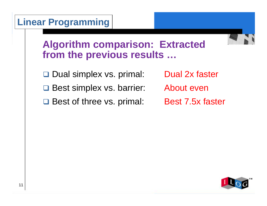

### **Algorithm comparison: Extracted from the previous results …**

□ Dual simplex vs. primal: Dual 2x faster

**□ Best simplex vs. barrier: About even** 

□ Best of three vs. primal: Best 7.5x faster

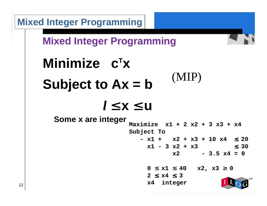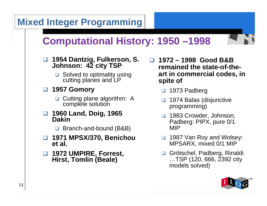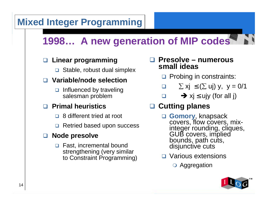# **Mixed Integer Programming**

# **1998… A new generation of MIP codes**

#### ! **Linear programming**

□ Stable, robust dual simplex

#### ! **Variable/node selection**

 $\Box$  Influenced by traveling salesman problem

#### ! **Primal heuristics**

- $\Box$  8 different tried at root
- **□ Retried based upon success**

#### **□ Node presolve**

**□ Fast, incremental bound** strengthening (very similar to Constraint Programming)

#### ! **Presolve – numerous small ideas**

- **D** Probing in constraints:
- $\Box$  $\sum xj \leq (\sum uj) y, y = 0/1$
- $\Box$  $\Box$   $\rightarrow$  xj  $\leq$  ujy (for all j)

#### **□ Cutting planes**

- □ **Gomory**, knapsack<br>covers, flow covers, mixinteger rounding, cliques,<br>GUB covers, implied<br>bounds, path cuts,<br>disjunctive cuts
- **□** Various extensions
	- **O** Aggregation

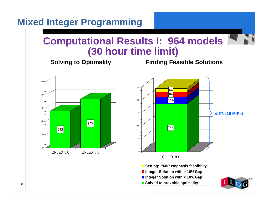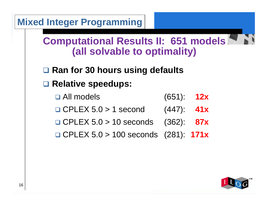

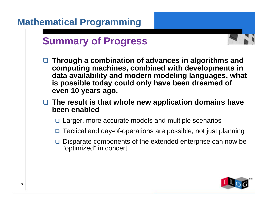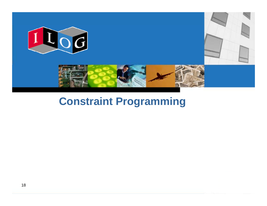

# **Constraint Programming**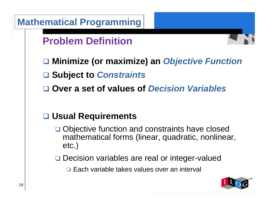|    | <b>Mathematical Programming</b>                                                                                   |
|----|-------------------------------------------------------------------------------------------------------------------|
|    | <b>Problem Definition</b>                                                                                         |
|    | □ Minimize (or maximize) an Objective Function                                                                    |
|    | □ Subject to Constraints<br>□ Over a set of values of Decision Variables                                          |
|    | <b>Usual Requirements</b>                                                                                         |
|    | □ Objective function and constraints have closed<br>mathematical forms (linear, quadratic, nonlinear,<br>$etc.$ ) |
|    | Decision variables are real or integer-valued                                                                     |
|    | O Each variable takes values over an interval                                                                     |
| 19 |                                                                                                                   |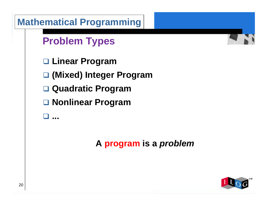|    | <b>Mathematical Programming</b> |     |
|----|---------------------------------|-----|
|    | <b>Problem Types</b>            |     |
|    | □ Linear Program                |     |
|    | □ (Mixed) Integer Program       |     |
|    | □ Quadratic Program             |     |
|    | □ Nonlinear Program             |     |
|    | $\overline{a}$                  |     |
|    | A program is a <i>problem</i>   |     |
| 20 |                                 | 100 |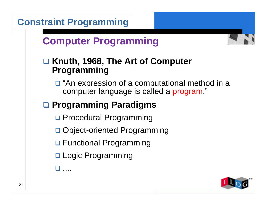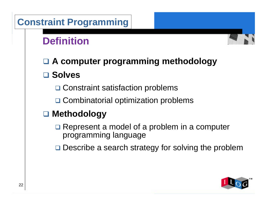# **Constraint Programming**

# **Definition**



! **A computer programming methodology** ! **Solves**

**□ Constraint satisfaction problems** 

□ Combinatorial optimization problems

## ! **Methodology**

 $\Box$  Represent a model of a problem in a computer programming language

**□** Describe a search strategy for solving the problem

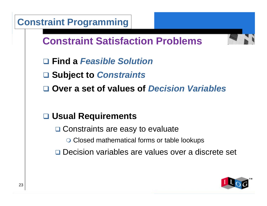| <b>Constraint Programming</b>                       |
|-----------------------------------------------------|
| <b>Constraint Satisfaction Problems</b>             |
| □ Find a Feasible Solution                          |
| □ Subject to Constraints                            |
| □ Over a set of values of Decision Variables        |
|                                                     |
| □ Usual Requirements                                |
| □ Constraints are easy to evaluate                  |
| ○ Closed mathematical forms or table lookups        |
| □ Decision variables are values over a discrete set |
|                                                     |
|                                                     |

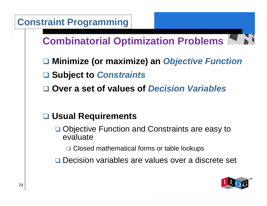|    | <b>Constraint Programming</b>                                     |
|----|-------------------------------------------------------------------|
|    | <b>Combinatorial Optimization Problems</b>                        |
|    | □ Minimize (or maximize) an Objective Function                    |
|    | □ Subject to Constraints                                          |
|    | <b>Over a set of values of Decision Variables</b>                 |
|    |                                                                   |
|    | □ Usual Requirements                                              |
|    | <b>Objective Function and Constraints are easy to</b><br>evaluate |
|    | ○ Closed mathematical forms or table lookups                      |
|    | Decision variables are values over a discrete set                 |
| 24 | 1000                                                              |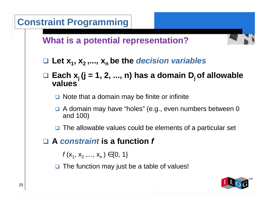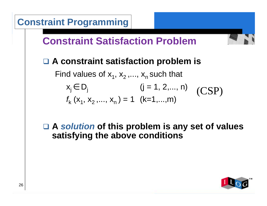

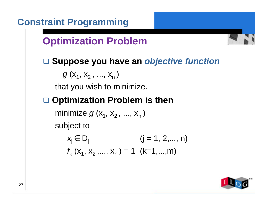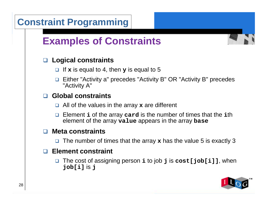![](_page_27_Figure_0.jpeg)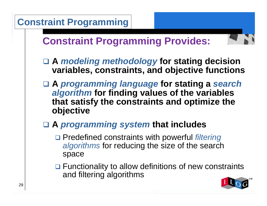![](_page_28_Figure_0.jpeg)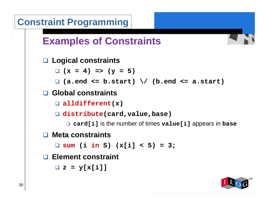![](_page_29_Figure_0.jpeg)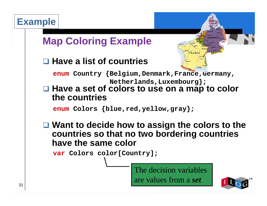![](_page_30_Figure_1.jpeg)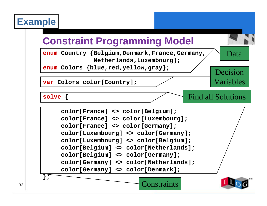**solve {**

# **Constraint Programming Model**

**enum Country {Belgium,Denmark,France,Germany, Netherlands,Luxembourg};**

**enum Colors {blue,red,yellow,gray};**

**var Colors color[Country];**

Find all Solutions

Data

Decision

Variables

![](_page_31_Figure_6.jpeg)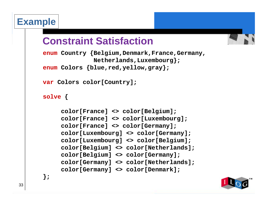# **Constraint Satisfaction**

```
enum Country {Belgium,Denmark,France,Germany,
              Netherlands,Luxembourg};
enum Colors {blue,red,yellow,gray};
```

```
var Colors color[Country];
```

```
solve {
```
**};**

```
color[France] <> color[Belgium];
color[France] <> color[Luxembourg];
color[France] <> color[Germany];
color[Luxembourg] <> color[Germany];
color[Luxembourg] <> color[Belgium];
color[Belgium] <> color[Netherlands];
color[Belgium] <> color[Germany];
color[Germany] <> color[Netherlands];
color[Germany] <> color[Denmark];
```
![](_page_32_Picture_6.jpeg)

![](_page_32_Picture_7.jpeg)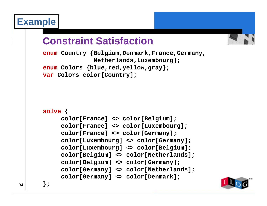# **Constraint Satisfaction**

```
enum Country {Belgium,Denmark,France,Germany,
              Netherlands,Luxembourg};
enum Colors {blue,red,yellow,gray};
var Colors color[Country];
solve {
    color[France] <> color[Belgium];
    color[France] <> color[Luxembourg];
    color[France] <> color[Germany];
    color[Luxembourg] <> color[Germany];
    color[Luxembourg] <> color[Belgium];
    color[Belgium] <> color[Netherlands];
    color[Belgium] <> color[Germany];
    color[Germany] <> color[Netherlands];
    color[Germany] <> color[Denmark];
```
![](_page_33_Picture_3.jpeg)

34

**};**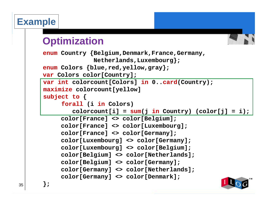# **Optimization**

```
enum Country {Belgium,Denmark,France,Germany,
              Netherlands,Luxembourg};
enum Colors {blue,red,yellow,gray};
var Colors color[Country];
     color[France] <> color[Belgium];
    color[France] <> color[Luxembourg];
     color[France] <> color[Germany];
     color[Luxembourg] <> color[Germany];
     color[Luxembourg] <> color[Belgium];
     color[Belgium] <> color[Netherlands];
     color[Belgium] <> color[Germany];
     color[Germany] <> color[Netherlands];
     color[Germany] <> color[Denmark];
};
var int colorcount[Colors] in 0..card(Country);
maximize colorcount[yellow]
subject to {
     forall (i in Colors) 
        color[j] = sum(j in Country) (color[j] = i);
```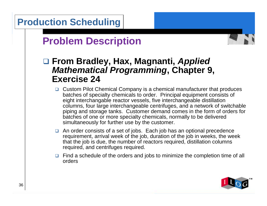![](_page_35_Figure_0.jpeg)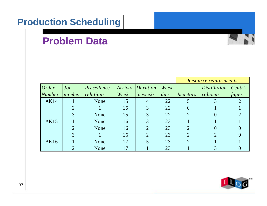# **Problem Data**

|               |                |            |      |                          |      | Resource requirements |                     |           |  |
|---------------|----------------|------------|------|--------------------------|------|-----------------------|---------------------|-----------|--|
| Order         | Job            | Precedence |      | <i>Arrival Duration</i>  | Week |                       | <i>Distillation</i> | $Centri-$ |  |
| <b>Number</b> | number         | relations  | Week | $\left $ <i>in weeks</i> | due  | Reactors              | columns             | fuges     |  |
| <b>AK14</b>   |                | None       | 15   | 4                        | 22   |                       |                     |           |  |
|               | $\overline{2}$ |            | 15   | 3                        | 22   | $\theta$              |                     |           |  |
|               | 3              | None       | 15   | 3                        | 22   | $\overline{2}$        |                     |           |  |
| AK15          |                | None       | 16   | 3                        | 23   |                       |                     |           |  |
|               | $\overline{2}$ | None       | 16   | $\overline{2}$           | 23   | $\overline{2}$        |                     |           |  |
|               | 3              |            | 16   | $\overline{2}$           | 23   | $\overline{2}$        | $\overline{2}$      |           |  |
| AK16          |                | None       | 17   |                          | 23   |                       |                     |           |  |
|               | $\overline{2}$ | None       | 17   |                          | 23   |                       | 3                   |           |  |

![](_page_36_Picture_3.jpeg)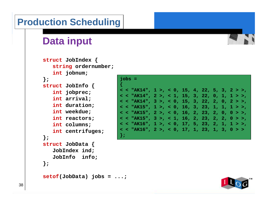# **Data input**

```
struct JobIndex {
   string ordernumber;
   int jobnum;
};
struct JobInfo {
   int jobprec;
   int arrival;
   int duration;
   int weekdue;
   int reactors;
   int columns;
   int centrifuges;
};
struct JobData {
   JobIndex ind;
   JobInfo info;
};
setof(JobData) jobs = ...;
```

| $jobs =$ |                                                                         |  |  |  |  |  |  |
|----------|-------------------------------------------------------------------------|--|--|--|--|--|--|
|          | < < "AK14", 1 >, < 0, 15, 4, 22, 5, 3, 2 > >,                           |  |  |  |  |  |  |
|          | < < "AK14", 2 >, < 1, 15, 3, 22, 0, 1, 1 > >,                           |  |  |  |  |  |  |
|          | < < "AK14", 3 >, < 0, 15, 3, 22, 2, 0, 2 > >,                           |  |  |  |  |  |  |
|          | < < "AK15", 1 >, < 0, 16, 3, 23, 1, 1, 1 > >,                           |  |  |  |  |  |  |
|          | $<$ < "AK15", 2 >, < 0, 16, 2, 23, 2, 0, 0 > >,                         |  |  |  |  |  |  |
|          | < < "AK15", 3 >, < 1, 16, 2, 23, 2, 2, 0 > >,                           |  |  |  |  |  |  |
|          | < < "AK16", 1 >, < 0, 17, 5, 23, 2, 1, 1 > >,                           |  |  |  |  |  |  |
|          | $\epsilon$ $\epsilon$ "AK16", 2 >, $\epsilon$ 0, 17, 1, 23, 1, 3, 0 > > |  |  |  |  |  |  |
| $\}$ ;   |                                                                         |  |  |  |  |  |  |

![](_page_37_Picture_4.jpeg)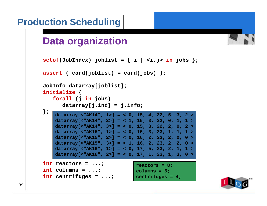![](_page_38_Figure_0.jpeg)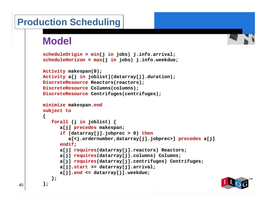## **Model**

```
scheduleOrigin = min(j in jobs) j.info.arrival;
scheduleHorizon = max(j in jobs) j.info.weekdue;
Activity makespan(0);
Activity a[j in joblist](datarray[j].duration);
DiscreteResource Reactors(reactors);
DiscreteResource Columns(columns);
DiscreteResource Centrifuges(centrifuges);
minimize makespan.end
subject to
{
   forall (j in joblist) {
      a[j] precedes makespan;
      if (datarray[j].jobprec > 0) then
         a[<j.ordernumber,datarray[j].jobprec>] precedes a[j]
      endif;
      a[j] requires(datarray[j].reactors) Reactors;
      a[j] requires(datarray[j].columns) Columns;
      a[j] requires(datarray[j].centrifuges) Centrifuges;
      a[j].start >= datarray[j].arrival;
      a[j].end <= datarray[j].weekdue;
   };
};
```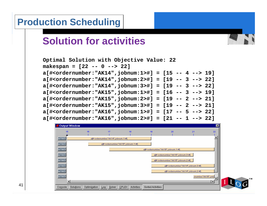# **Solution for activities**

![](_page_40_Figure_2.jpeg)

| Output Window        |              |                                                                   |       |            |                                                                   |                                                                   |                                                                   | $\vert x \vert$ |
|----------------------|--------------|-------------------------------------------------------------------|-------|------------|-------------------------------------------------------------------|-------------------------------------------------------------------|-------------------------------------------------------------------|-----------------|
| 15                   | 16           | 17                                                                |       | 18         | 19                                                                | 20                                                                | 21                                                                | 22              |
| er"AK1               |              | a[# <ordernumber:"ak14",jobnum:1>#]</ordernumber:"ak14",jobnum:1> |       |            |                                                                   |                                                                   |                                                                   |                 |
| er:"AK1:             |              | a[# <ordernumber:"ak15",jobnum:1>#]</ordernumber:"ak15",jobnum:1> |       |            |                                                                   |                                                                   |                                                                   |                 |
| er"AK1               |              |                                                                   |       |            | a[# <ordernumber:"ak16",jobnum:1>#]</ordernumber:"ak16",jobnum:1> |                                                                   |                                                                   |                 |
| er:"AK1:             |              |                                                                   |       |            |                                                                   | a[# <ordernumber:"ak15",jobnum:3>#]</ordernumber:"ak15",jobnum:3> |                                                                   |                 |
| er:"AK1:             |              |                                                                   |       |            |                                                                   | a[# <ordernumber:"ak15",jobnum:2>#]</ordernumber:"ak15",jobnum:2> |                                                                   |                 |
| er:"AK1-             |              |                                                                   |       |            |                                                                   |                                                                   | a[# <ordernumber:"ak14",jobnum:3>#]</ordernumber:"ak14",jobnum:3> |                 |
| er:"AK1-             |              |                                                                   |       |            |                                                                   |                                                                   | a[# <ordernumber:"ak14",jobnum:2>#]</ordernumber:"ak14",jobnum:2> |                 |
| er:"AK1              |              |                                                                   |       |            |                                                                   |                                                                   | :mumber:"AK16",jobr                                               |                 |
| и                    |              |                                                                   |       |            |                                                                   |                                                                   |                                                                   |                 |
| Solutions<br>Console | Optimization | Solver<br>Log                                                     | CPLEX | Activities | Sorted Activities                                                 |                                                                   |                                                                   |                 |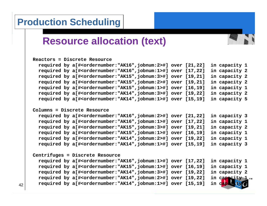# **Resource allocation (text)**

```
Reactors = Discrete Resourcerequired by a[#<ordernumber:"AK16",jobnum:2>#] over [21,22] in capacity 1
  required by a[#<ordernumber:"AK16",jobnum:1>#] over [17,22] in capacity 2
  required by a[#<ordernumber:"AK15",jobnum:3>#] over [19,21] in capacity 2
  required by a[#<ordernumber:"AK15",jobnum:2>#] over [19,21] in capacity 2
  required by a[#<ordernumber:"AK15",jobnum:1>#] over [16,19] in capacity 1
  required by a[#<ordernumber:"AK14",jobnum:3>#] over [19,22] in capacity 2
  required by a[#<ordernumber:"AK14",jobnum:1>#] over [15,19] in capacity 5
Columns = Discrete Resourcerequired by a[#<ordernumber:"AK16",jobnum:2>#] over [21,22] in capacity 3
  required by a[#<ordernumber:"AK16",jobnum:1>#] over [17,22] in capacity 1
  required by a[#<ordernumber:"AK15",jobnum:3>#] over [19,21] in capacity 2
  required by a[#<ordernumber:"AK15",jobnum:1>#] over [16,19] in capacity 1
  required by a[#<ordernumber:"AK14",jobnum:2>#] over [19,22] in capacity 1
  required by a[#<ordernumber:"AK14",jobnum:1>#] over [15,19] in capacity 3
Centrifuges = Discrete Resource
  required by a[#<ordernumber:"AK16",jobnum:1>#] over [17,22] in capacity 1
  required by a[#<ordernumber:"AK15",jobnum:1>#] over [16,19] in capacity 1
  required by a[#<ordernumber:"AK14",jobnum:3>#] over [19,22] in capacity 2
  required by a[#<ordernumber:"AK14",jobnum:2>#] over [19,22] in capacity 1
  required by a[#<ordernumber:"AK14",jobnum:1>#] over [15,19] in capa
```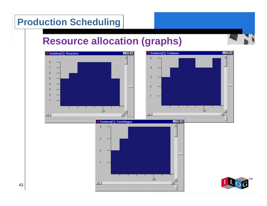# **Resource allocation (graphs)**

![](_page_42_Figure_2.jpeg)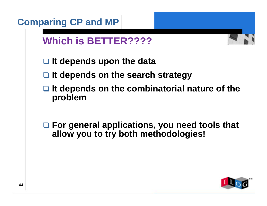|    | <b>Comparing CP and MP</b>                                                                   |  |
|----|----------------------------------------------------------------------------------------------|--|
|    | <b>Which is BETTER????</b>                                                                   |  |
|    | $\Box$ It depends upon the data                                                              |  |
|    | $\Box$ It depends on the search strategy                                                     |  |
|    | It depends on the combinatorial nature of the<br>⊔<br>problem                                |  |
|    | $\Box$ For general applications, you need tools that<br>allow you to try both methodologies! |  |
| 44 |                                                                                              |  |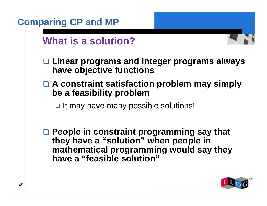![](_page_44_Figure_0.jpeg)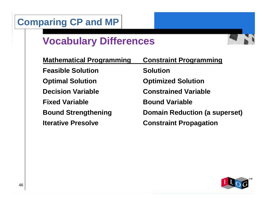# **Comparing CP and MP**

# **Vocabulary Differences**

![](_page_45_Picture_2.jpeg)

![](_page_45_Picture_3.jpeg)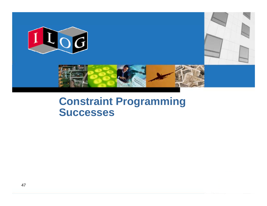![](_page_46_Picture_0.jpeg)

# **Constraint Programming Successes**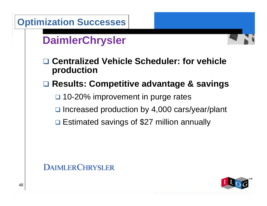![](_page_47_Figure_0.jpeg)

![](_page_47_Picture_1.jpeg)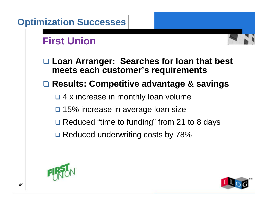![](_page_48_Figure_0.jpeg)

![](_page_48_Picture_1.jpeg)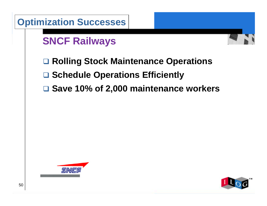| <b>Optimization Successes</b>           |      |
|-----------------------------------------|------|
| <b>SNCF Railways</b>                    |      |
| □ Rolling Stock Maintenance Operations  |      |
| □ Schedule Operations Efficiently       |      |
| □ Save 10% of 2,000 maintenance workers |      |
|                                         |      |
|                                         |      |
|                                         |      |
|                                         |      |
|                                         |      |
| SNEF                                    |      |
| 50                                      | 1000 |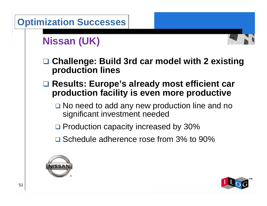![](_page_50_Figure_0.jpeg)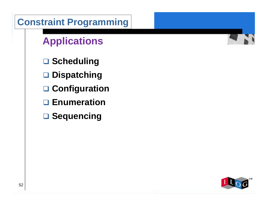![](_page_51_Figure_0.jpeg)

![](_page_51_Picture_1.jpeg)